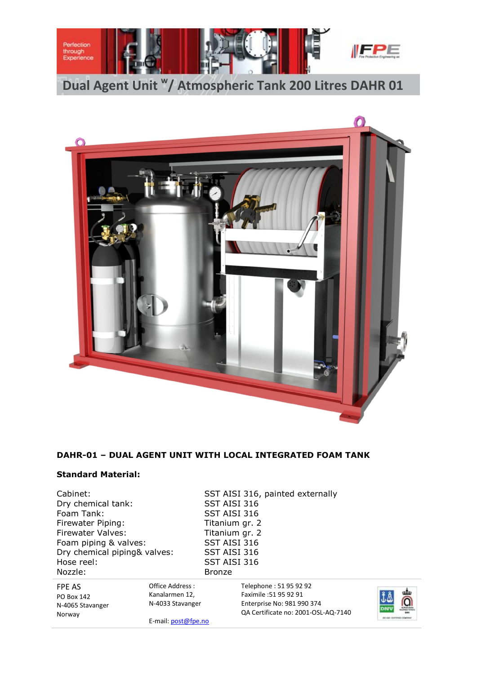



# **DAHR-01 – DUAL AGENT UNIT WITH LOCAL INTEGRATED FOAM TANK**

### **Standard Material:**

Dry chemical tank:<br>Foam Tank: Firewater Piping: Titanium gr. 2 Firewater Valves: Titanium gr. 2<br>Foam piping & valves: SST AISI 316 Foam piping & valves: Dry chemical piping& valves: SST AISI 316 Hose reel: SST AISI 316 Nozzle: Bronze

Cabinet: SST AISI 316, painted externally<br>Dry chemical tank: SST AISI 316 SST AISI 316

| FPE AS           | Office Address :    | Telephone: 51 95 92 92              |                 |
|------------------|---------------------|-------------------------------------|-----------------|
| PO Box 142       | Kanalarmen 12,      | Faximile :51 95 92 91               | ĴÅ              |
| N-4065 Stavanger | N-4033 Stavanger    | Enterprise No: 981 990 374          |                 |
| Norway           |                     | QA Certificate no: 2001-OSL-AQ-7140 | <b>DNV</b>      |
|                  | E-mail: post@fpe.no |                                     | <b>MONE 019</b> |

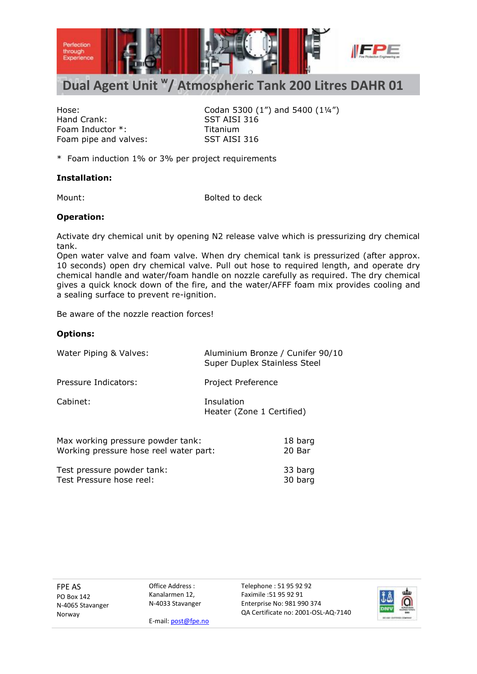

# **Dual Agent Unit <sup>w</sup> / Atmospheric Tank 200 Litres DAHR 01**

Hand Crank: SST AISI 316 Foam Inductor \*: Titanium Foam pipe and valves: SST AISI 316

Hose: Codan 5300 (1") and 5400 (1¼")

\* Foam induction 1% or 3% per project requirements

### **Installation:**

Mount: Bolted to deck

## **Operation:**

Activate dry chemical unit by opening N2 release valve which is pressurizing dry chemical tank.

Open water valve and foam valve. When dry chemical tank is pressurized (after approx. 10 seconds) open dry chemical valve. Pull out hose to required length, and operate dry chemical handle and water/foam handle on nozzle carefully as required. The dry chemical gives a quick knock down of the fire, and the water/AFFF foam mix provides cooling and a sealing surface to prevent re-ignition.

Be aware of the nozzle reaction forces!

### **Options:**

| Water Piping & Valves:                                                      | Aluminium Bronze / Cunifer 90/10<br>Super Duplex Stainless Steel |  |
|-----------------------------------------------------------------------------|------------------------------------------------------------------|--|
| Pressure Indicators:                                                        | Project Preference                                               |  |
| Cabinet:                                                                    | Insulation<br>Heater (Zone 1 Certified)                          |  |
| Max working pressure powder tank:<br>Working pressure hose reel water part: | 18 barg<br>20 Bar                                                |  |
| Test pressure powder tank:                                                  | 33 barg                                                          |  |

Test Pressure hose reel: 30 barg

FPE AS PO Box 142 N-4065 Stavanger Norway

Office Address : Kanalarmen 12, N-4033 Stavanger Telephone : 51 95 92 92 Faximile :51 95 92 91 Enterprise No: 981 990 374 QA Certificate no: 2001-OSL-AQ-7140



E-mail: post@fpe.no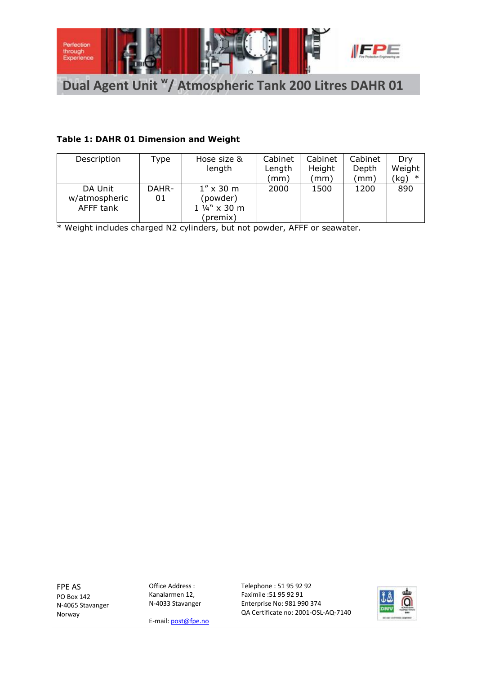

# **Table 1: DAHR 01 Dimension and Weight**

| Description   | Type  | Hose size &       | Cabinet           | Cabinet | Cabinet | Drv    |
|---------------|-------|-------------------|-------------------|---------|---------|--------|
|               |       | length            | Length            | Height  | Depth   | Weight |
|               |       |                   | $, \mathsf{mm}$ ) | (mm)    | (mm)    | (kg)   |
| DA Unit       | DAHR- | $1'' \times 30$ m | 2000              | 1500    | 1200    | 890    |
| w/atmospheric | 01    | (powder)          |                   |         |         |        |
| AFFF tank     |       | 1 1/4" x 30 m     |                   |         |         |        |
|               |       | (premix)          |                   |         |         |        |

\* Weight includes charged N2 cylinders, but not powder, AFFF or seawater.

FPE AS PO Box 142 N-4065 Stavanger Norway

Office Address : Kanalarmen 12, N-4033 Stavanger



E-mail: post@fpe.no

Faximile :51 95 92 91 Enterprise No: 981 990 374 QA Certificate no: 2001-OSL-AQ-7140

Telephone : 51 95 92 92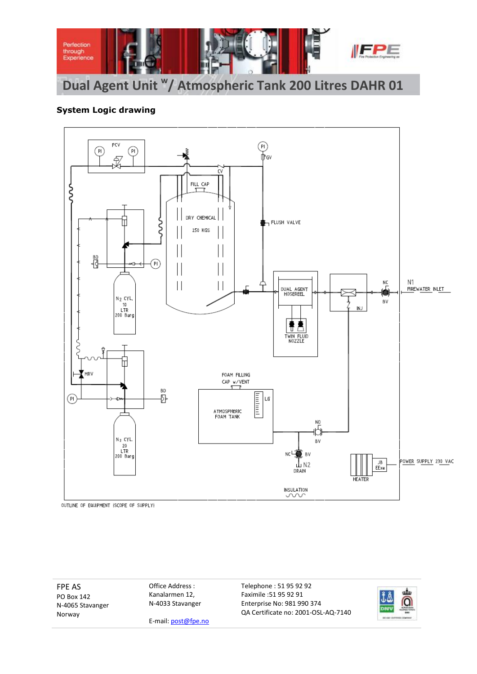

# **System Logic drawing**



OUTLINE OF EQUIPMENT (SCOPE OF SUPPLY)

FPE AS PO Box 142 N-4065 Stavanger Norway

Office Address : Kanalarmen 12, N-4033 Stavanger



E-mail: post@fpe.no

Telephone : 51 95 92 92 Faximile :51 95 92 91 Enterprise No: 981 990 374 QA Certificate no: 2001-OSL-AQ-7140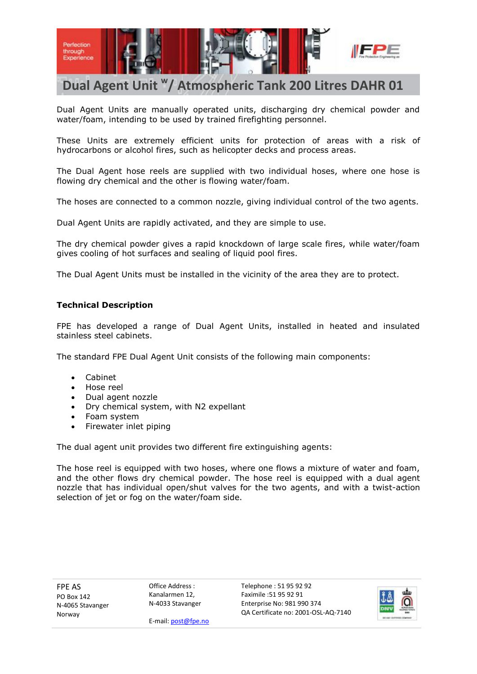

# **Dual Agent Unit <sup>w</sup> / Atmospheric Tank 200 Litres DAHR 01**

Dual Agent Units are manually operated units, discharging dry chemical powder and water/foam, intending to be used by trained firefighting personnel.

These Units are extremely efficient units for protection of areas with a risk of hydrocarbons or alcohol fires, such as helicopter decks and process areas.

The Dual Agent hose reels are supplied with two individual hoses, where one hose is flowing dry chemical and the other is flowing water/foam.

The hoses are connected to a common nozzle, giving individual control of the two agents.

Dual Agent Units are rapidly activated, and they are simple to use.

The dry chemical powder gives a rapid knockdown of large scale fires, while water/foam gives cooling of hot surfaces and sealing of liquid pool fires.

The Dual Agent Units must be installed in the vicinity of the area they are to protect.

### **Technical Description**

FPE has developed a range of Dual Agent Units, installed in heated and insulated stainless steel cabinets.

The standard FPE Dual Agent Unit consists of the following main components:

- Cabinet
- Hose reel
- Dual agent nozzle
- Dry chemical system, with N2 expellant
- Foam system
- Firewater inlet piping

The dual agent unit provides two different fire extinguishing agents:

The hose reel is equipped with two hoses, where one flows a mixture of water and foam, and the other flows dry chemical powder. The hose reel is equipped with a dual agent nozzle that has individual open/shut valves for the two agents, and with a twist-action selection of jet or fog on the water/foam side.

FPE AS PO Box 142 N-4065 Stavanger Norway

Office Address : Kanalarmen 12, N-4033 Stavanger Telephone : 51 95 92 92 Faximile :51 95 92 91 Enterprise No: 981 990 374 QA Certificate no: 2001-OSL-AQ-7140



E-mail: post@fpe.no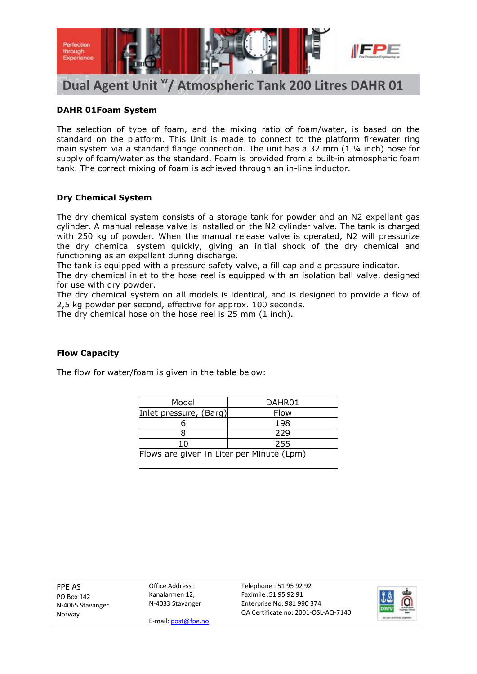

## **DAHR 01Foam System**

The selection of type of foam, and the mixing ratio of foam/water, is based on the standard on the platform. This Unit is made to connect to the platform firewater ring main system via a standard flange connection. The unit has a 32 mm (1 ¼ inch) hose for supply of foam/water as the standard. Foam is provided from a built-in atmospheric foam tank. The correct mixing of foam is achieved through an in-line inductor.

## **Dry Chemical System**

The dry chemical system consists of a storage tank for powder and an N2 expellant gas cylinder. A manual release valve is installed on the N2 cylinder valve. The tank is charged with 250 kg of powder. When the manual release valve is operated, N2 will pressurize the dry chemical system quickly, giving an initial shock of the dry chemical and functioning as an expellant during discharge.

The tank is equipped with a pressure safety valve, a fill cap and a pressure indicator.

The dry chemical inlet to the hose reel is equipped with an isolation ball valve, designed for use with dry powder.

The dry chemical system on all models is identical, and is designed to provide a flow of 2,5 kg powder per second, effective for approx. 100 seconds.

The dry chemical hose on the hose reel is 25 mm (1 inch).

# **Flow Capacity**

The flow for water/foam is given in the table below:

| Model                                     | DAHR01 |  |  |
|-------------------------------------------|--------|--|--|
| Inlet pressure, (Barg)                    | Flow   |  |  |
|                                           | 198    |  |  |
|                                           | 229    |  |  |
| 10                                        | 255    |  |  |
| Flows are given in Liter per Minute (Lpm) |        |  |  |

FPE AS PO Box 142 N-4065 Stavanger Norway

Office Address : Kanalarmen 12, N-4033 Stavanger Telephone : 51 95 92 92 Faximile :51 95 92 91 Enterprise No: 981 990 374 QA Certificate no: 2001-OSL-AQ-7140



E-mail: post@fpe.no